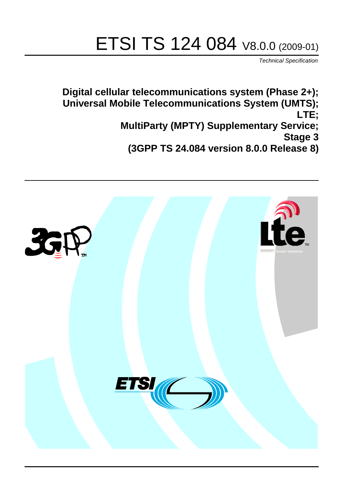# ETSI TS 124 084 V8.0.0 (2009-01)

*Technical Specification*

**Digital cellular telecommunications system (Phase 2+); Universal Mobile Telecommunications System (UMTS); LTE; MultiParty (MPTY) Supplementary Service; Stage 3 (3GPP TS 24.084 version 8.0.0 Release 8)**

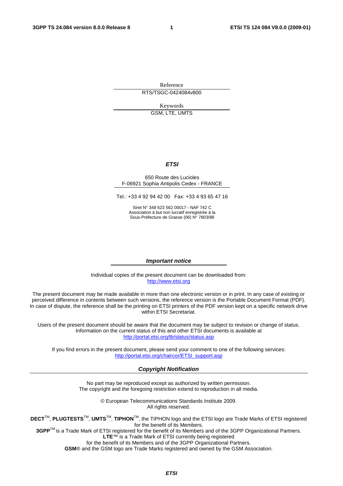Reference RTS/TSGC-0424084v800

Keywords GSM, LTE, UMTS

#### *ETSI*

#### 650 Route des Lucioles F-06921 Sophia Antipolis Cedex - FRANCE

Tel.: +33 4 92 94 42 00 Fax: +33 4 93 65 47 16

Siret N° 348 623 562 00017 - NAF 742 C Association à but non lucratif enregistrée à la Sous-Préfecture de Grasse (06) N° 7803/88

#### *Important notice*

Individual copies of the present document can be downloaded from: [http://www.etsi.org](http://www.etsi.org/)

The present document may be made available in more than one electronic version or in print. In any case of existing or perceived difference in contents between such versions, the reference version is the Portable Document Format (PDF). In case of dispute, the reference shall be the printing on ETSI printers of the PDF version kept on a specific network drive within ETSI Secretariat.

Users of the present document should be aware that the document may be subject to revision or change of status. Information on the current status of this and other ETSI documents is available at <http://portal.etsi.org/tb/status/status.asp>

If you find errors in the present document, please send your comment to one of the following services: [http://portal.etsi.org/chaircor/ETSI\\_support.asp](http://portal.etsi.org/chaircor/ETSI_support.asp)

#### *Copyright Notification*

No part may be reproduced except as authorized by written permission. The copyright and the foregoing restriction extend to reproduction in all media.

> © European Telecommunications Standards Institute 2009. All rights reserved.

**DECT**TM, **PLUGTESTS**TM, **UMTS**TM, **TIPHON**TM, the TIPHON logo and the ETSI logo are Trade Marks of ETSI registered for the benefit of its Members.

**3GPP**TM is a Trade Mark of ETSI registered for the benefit of its Members and of the 3GPP Organizational Partners. **LTE**™ is a Trade Mark of ETSI currently being registered

for the benefit of its Members and of the 3GPP Organizational Partners.

**GSM**® and the GSM logo are Trade Marks registered and owned by the GSM Association.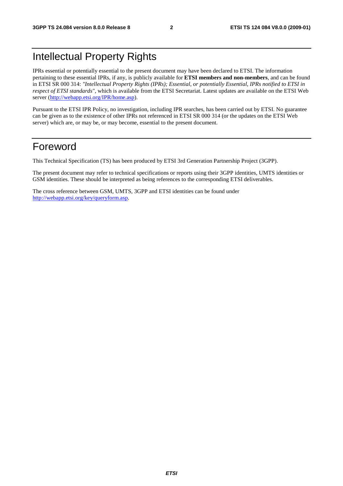# Intellectual Property Rights

IPRs essential or potentially essential to the present document may have been declared to ETSI. The information pertaining to these essential IPRs, if any, is publicly available for **ETSI members and non-members**, and can be found in ETSI SR 000 314: *"Intellectual Property Rights (IPRs); Essential, or potentially Essential, IPRs notified to ETSI in respect of ETSI standards"*, which is available from the ETSI Secretariat. Latest updates are available on the ETSI Web server [\(http://webapp.etsi.org/IPR/home.asp\)](http://webapp.etsi.org/IPR/home.asp).

Pursuant to the ETSI IPR Policy, no investigation, including IPR searches, has been carried out by ETSI. No guarantee can be given as to the existence of other IPRs not referenced in ETSI SR 000 314 (or the updates on the ETSI Web server) which are, or may be, or may become, essential to the present document.

# Foreword

This Technical Specification (TS) has been produced by ETSI 3rd Generation Partnership Project (3GPP).

The present document may refer to technical specifications or reports using their 3GPP identities, UMTS identities or GSM identities. These should be interpreted as being references to the corresponding ETSI deliverables.

The cross reference between GSM, UMTS, 3GPP and ETSI identities can be found under [http://webapp.etsi.org/key/queryform.asp.](http://webapp.etsi.org/key/queryform.asp)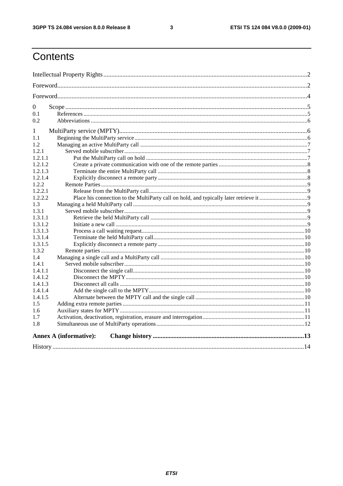$\mathbf{3}$ 

# Contents

| $\overline{0}$                |  |
|-------------------------------|--|
| 0.1                           |  |
| 0.2                           |  |
| 1                             |  |
| 1.1                           |  |
| 1.2                           |  |
| 1.2.1                         |  |
| 1.2.1.1                       |  |
| 1.2.1.2                       |  |
| 1.2.1.3                       |  |
| 1.2.1.4                       |  |
| 1.2.2                         |  |
| 1.2.2.1                       |  |
| 1.2.2.2                       |  |
| 1.3                           |  |
| 1.3.1                         |  |
| 1.3.1.1                       |  |
| 1.3.1.2                       |  |
| 1.3.1.3                       |  |
| 1.3.1.4                       |  |
| 1.3.1.5                       |  |
| 1.3.2                         |  |
| 1.4                           |  |
| 1.4.1                         |  |
| 1.4.1.1                       |  |
| 1.4.1.2                       |  |
| 1.4.1.3                       |  |
| 1.4.1.4                       |  |
| 1.4.1.5                       |  |
| 1.5                           |  |
| 1.6                           |  |
| 1.7                           |  |
| 1.8                           |  |
| <b>Annex A (informative):</b> |  |
|                               |  |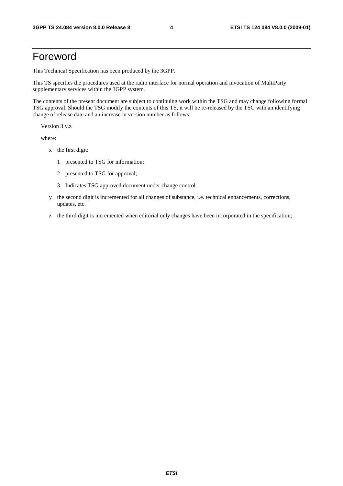# Foreword

This Technical Specification has been produced by the 3GPP.

This TS specifies the procedures used at the radio interface for normal operation and invocation of MultiParty supplementary services within the 3GPP system.

The contents of the present document are subject to continuing work within the TSG and may change following formal TSG approval. Should the TSG modify the contents of this TS, it will be re-released by the TSG with an identifying change of release date and an increase in version number as follows:

Version 3.y.z

where:

- x the first digit:
	- 1 presented to TSG for information;
	- 2 presented to TSG for approval;
	- 3 Indicates TSG approved document under change control.
- y the second digit is incremented for all changes of substance, i.e. technical enhancements, corrections, updates, etc.
- z the third digit is incremented when editorial only changes have been incorporated in the specification;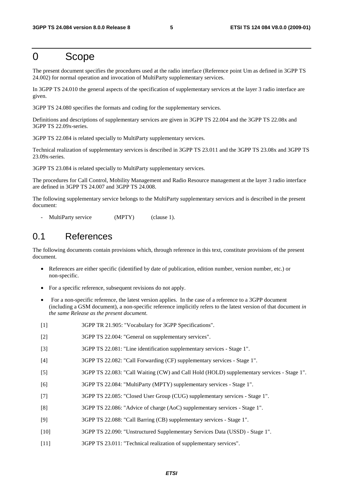# 0 Scope

The present document specifies the procedures used at the radio interface (Reference point Um as defined in 3GPP TS 24.002) for normal operation and invocation of MultiParty supplementary services.

In 3GPP TS 24.010 the general aspects of the specification of supplementary services at the layer 3 radio interface are given.

3GPP TS 24.080 specifies the formats and coding for the supplementary services.

Definitions and descriptions of supplementary services are given in 3GPP TS 22.004 and the 3GPP TS 22.08x and 3GPP TS 22.09x-series.

3GPP TS 22.084 is related specially to MultiParty supplementary services.

Technical realization of supplementary services is described in 3GPP TS 23.011 and the 3GPP TS 23.08x and 3GPP TS 23.09x-series.

3GPP TS 23.084 is related specially to MultiParty supplementary services.

The procedures for Call Control, Mobility Management and Radio Resource management at the layer 3 radio interface are defined in 3GPP TS 24.007 and 3GPP TS 24.008.

The following supplementary service belongs to the MultiParty supplementary services and is described in the present document:

MultiParty service (MPTY) (clause 1).

# 0.1 References

The following documents contain provisions which, through reference in this text, constitute provisions of the present document.

- References are either specific (identified by date of publication, edition number, version number, etc.) or non-specific.
- For a specific reference, subsequent revisions do not apply.
- For a non-specific reference, the latest version applies. In the case of a reference to a 3GPP document (including a GSM document), a non-specific reference implicitly refers to the latest version of that document *in the same Release as the present document*.
- [1] 3GPP TR 21.905: "Vocabulary for 3GPP Specifications".
- [2] 3GPP TS 22.004: "General on supplementary services".
- [3] 3GPP TS 22.081: "Line identification supplementary services Stage 1".
- [4] 3GPP TS 22.082: "Call Forwarding (CF) supplementary services Stage 1".
- [5] 3GPP TS 22.083: "Call Waiting (CW) and Call Hold (HOLD) supplementary services Stage 1".
- [6] 3GPP TS 22.084: "MultiParty (MPTY) supplementary services Stage 1".
- [7] 3GPP TS 22.085: "Closed User Group (CUG) supplementary services Stage 1".
- [8] 3GPP TS 22.086: "Advice of charge (AoC) supplementary services Stage 1".
- [9] 3GPP TS 22.088: "Call Barring (CB) supplementary services Stage 1".
- [10] 3GPP TS 22.090: "Unstructured Supplementary Services Data (USSD) Stage 1".
- [11] 3GPP TS 23.011: "Technical realization of supplementary services".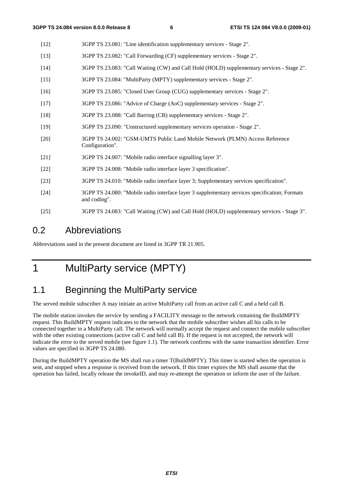- [12] 3GPP TS 23.081: "Line identification supplementary services Stage 2".
- [13] 3GPP TS 23.082: "Call Forwarding (CF) supplementary services Stage 2".
- [14] 3GPP TS 23.083: "Call Waiting (CW) and Call Hold (HOLD) supplementary services Stage 2".
- [15] 3GPP TS 23.084: "MultiParty (MPTY) supplementary services Stage 2".
- [16] 3GPP TS 23.085: "Closed User Group (CUG) supplementary services Stage 2".
- [17] 3GPP TS 23.086: "Advice of Charge (AoC) supplementary services Stage 2".
- [18] 3GPP TS 23.088: "Call Barring (CB) supplementary services Stage 2".
- [19] 3GPP TS 23.090: "Unstructured supplementary services operation Stage 2".
- [20] 3GPP TS 24.002: "GSM-UMTS Public Land Mobile Network (PLMN) Access Reference Configuration".
- [21] 3GPP TS 24.007: "Mobile radio interface signalling layer 3".
- [22] 3GPP TS 24.008: "Mobile radio interface layer 3 specification".
- [23] 3GPP TS 24.010: "Mobile radio interface layer 3; Supplementary services specification".
- [24] 3GPP TS 24.080: "Mobile radio interface layer 3 supplementary services specification; Formats and coding".
- [25] 3GPP TS 24.083: "Call Waiting (CW) and Call Hold (HOLD) supplementary services Stage 3".

### 0.2 Abbreviations

Abbreviations used in the present document are listed in 3GPP TR 21.905.

# 1 MultiParty service (MPTY)

# 1.1 Beginning the MultiParty service

The served mobile subscriber A may initiate an active MultiParty call from an active call C and a held call B.

The mobile station invokes the service by sending a FACILITY message to the network containing the BuildMPTY request. This BuildMPTY request indicates to the network that the mobile subscriber wishes all his calls to be connected together in a MultiParty call. The network will normally accept the request and connect the mobile subscriber with the other existing connections (active call C and held call B). If the request is not accepted, the network will indicate the error to the served mobile (see figure 1.1). The network confirms with the same transaction identifier. Error values are specified in 3GPP TS 24.080.

During the BuildMPTY operation the MS shall run a timer T(BuildMPTY). This timer is started when the operation is sent, and stopped when a response is received from the network. If this timer expires the MS shall assume that the operation has failed, locally release the invokeID, and may re-attempt the operation or inform the user of the failure.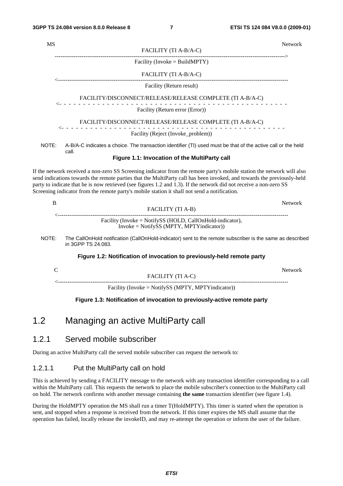| MS    |                                                                                                                       | <b>Network</b> |
|-------|-----------------------------------------------------------------------------------------------------------------------|----------------|
|       | FACILITY (TI A-B/A-C)                                                                                                 |                |
|       | Facility (Invoke = BuildMPTY)                                                                                         |                |
|       | FACILITY (TI A-B/A-C)                                                                                                 |                |
|       | Facility (Return result)                                                                                              |                |
|       | FACILITY/DISCONNECT/RELEASE/RELEASE COMPLETE (TI A-B/A-C)                                                             |                |
|       | Facility (Return error (Error))                                                                                       |                |
|       | FACILITY/DISCONNECT/RELEASE/RELEASE COMPLETE (TI A-B/A-C)                                                             |                |
|       | Facility (Reject (Invoke_problem))                                                                                    |                |
| NOTE: | A-B/A-C indicates a choice. The transaction identifier (TI) used must be that of the active call or the held<br>call. |                |
|       | Figure 1.1: Invocation of the MultiParty call                                                                         |                |
|       |                                                                                                                       |                |

If the network received a non-zero SS Screening indicator from the remote party's mobile station the network will also send indications towards the remote parties that the MultiParty call has been invoked, and towards the previously-held party to indicate that he is now retrieved (see figures 1.2 and 1.3). If the network did not receive a non-zero SS Screening indicator from the remote party's mobile station it shall not send a notification.

|                                                           | Network |
|-----------------------------------------------------------|---------|
| FACILITY (TI A-B)                                         |         |
| Facility (Invoke = NotifySS (HOLD, CallOnHold-indicator), |         |
| $Invoke = NotifySS (MPTY, MPTY indicator)$                |         |

NOTE: The CallOnHold notification (CallOnHold-indicator) sent to the remote subscriber is the same as described in 3GPP TS 24.083.

#### **Figure 1.2: Notification of invocation to previously-held remote party**

|                                                     | Network |
|-----------------------------------------------------|---------|
| FACILITY (TI A-C)                                   |         |
| Facility (Invoke = NotifySS (MPTY, MPTY indicator)) |         |

#### **Figure 1.3: Notification of invocation to previously-active remote party**

### 1.2 Managing an active MultiParty call

### 1.2.1 Served mobile subscriber

During an active MultiParty call the served mobile subscriber can request the network to:

#### 1.2.1.1 Put the MultiParty call on hold

This is achieved by sending a FACILITY message to the network with any transaction identifier corresponding to a call within the MultiParty call. This requests the network to place the mobile subscriber's connection to the MultiParty call on hold. The network confirms with another message containing **the same** transaction identifier (see figure 1.4).

During the HoldMPTY operation the MS shall run a timer T(HoldMPTY). This timer is started when the operation is sent, and stopped when a response is received from the network. If this timer expires the MS shall assume that the operation has failed, locally release the invokeID, and may re-attempt the operation or inform the user of the failure.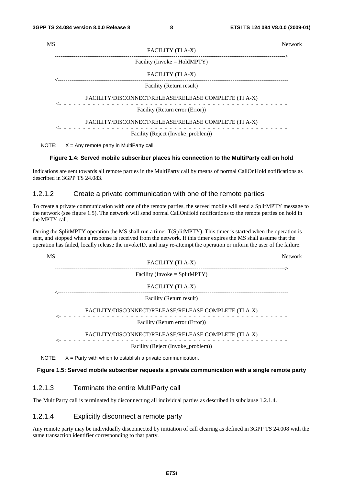| <b>Network</b>                                        |
|-------------------------------------------------------|
|                                                       |
|                                                       |
|                                                       |
|                                                       |
| FACILITY/DISCONNECT/RELEASE/RELEASE COMPLETE (TI A-X) |
|                                                       |
| FACILITY/DISCONNECT/RELEASE/RELEASE COMPLETE (TI A-X) |
|                                                       |
|                                                       |

NOTE:  $X = Any$  remote party in MultiParty call.

#### **Figure 1.4: Served mobile subscriber places his connection to the MultiParty call on hold**

Indications are sent towards all remote parties in the MultiParty call by means of normal CallOnHold notifications as described in 3GPP TS 24.083.

#### 1.2.1.2 Create a private communication with one of the remote parties

To create a private communication with one of the remote parties, the served mobile will send a SplitMPTY message to the network (see figure 1.5). The network will send normal CallOnHold notifications to the remote parties on hold in the MPTY call.

During the SplitMPTY operation the MS shall run a timer T(SplitMPTY). This timer is started when the operation is sent, and stopped when a response is received from the network. If this timer expires the MS shall assume that the operation has failed, locally release the invokeID, and may re-attempt the operation or inform the user of the failure.

| <b>MS</b> |                                                              | <b>Network</b> |
|-----------|--------------------------------------------------------------|----------------|
|           | <b>FACILITY (TI A-X)</b>                                     |                |
|           | Facility (Invoke = $SplitMPTY$ )                             |                |
|           | FACILITY (TI A-X)                                            |                |
|           | Facility (Return result)                                     |                |
|           | FACILITY/DISCONNECT/RELEASE/RELEASE COMPLETE (TI A-X)        |                |
|           | Facility (Return error (Error))                              |                |
|           | FACILITY/DISCONNECT/RELEASE/RELEASE COMPLETE (TI A-X)        |                |
|           | Facility (Reject (Invoke_problem))                           |                |
| NOTE:     | $X =$ Party with which to establish a private communication. |                |

#### **Figure 1.5: Served mobile subscriber requests a private communication with a single remote party**

#### 1.2.1.3 Terminate the entire MultiParty call

The MultiParty call is terminated by disconnecting all individual parties as described in subclause 1.2.1.4.

#### 1.2.1.4 Explicitly disconnect a remote party

Any remote party may be individually disconnected by initiation of call clearing as defined in 3GPP TS 24.008 with the same transaction identifier corresponding to that party.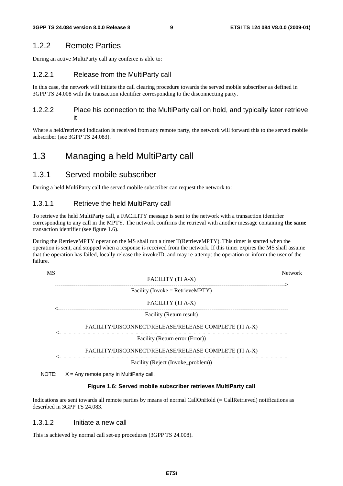### 1.2.2 Remote Parties

During an active MultiParty call any conferee is able to:

#### 1.2.2.1 Release from the MultiParty call

In this case, the network will initiate the call clearing procedure towards the served mobile subscriber as defined in 3GPP TS 24.008 with the transaction identifier corresponding to the disconnecting party.

#### 1.2.2.2 Place his connection to the MultiParty call on hold, and typically later retrieve it

Where a held/retrieved indication is received from any remote party, the network will forward this to the served mobile subscriber (see 3GPP TS 24.083).

### 1.3 Managing a held MultiParty call

### 1.3.1 Served mobile subscriber

During a held MultiParty call the served mobile subscriber can request the network to:

#### 1.3.1.1 Retrieve the held MultiParty call

To retrieve the held MultiParty call, a FACILITY message is sent to the network with a transaction identifier corresponding to any call in the MPTY. The network confirms the retrieval with another message containing **the same** transaction identifier (see figure 1.6).

During the RetrieveMPTY operation the MS shall run a timer T(RetrieveMPTY). This timer is started when the operation is sent, and stopped when a response is received from the network. If this timer expires the MS shall assume that the operation has failed, locally release the invokeID, and may re-attempt the operation or inform the user of the failure.

FACILITY (TI A-X)

MS Network

------------------------------------------------------------------------------------------------------------------------> Facility (Invoke = RetrieveMPTY)

FACILITY (TI A-X)

<------------------------------------------------------------------------------------------------------------------------

Facility (Return result)

FACILITY/DISCONNECT/RELEASE/RELEASE COMPLETE (TI A-X)

<- - - - - - - - - - - - - - - - - - - - - - - - - - - - - - - - - - - - - - - - - - - - - - - - Facility (Return error (Error))

FACILITY/DISCONNECT/RELEASE/RELEASE COMPLETE (TI A-X)

. <u>- - - - - - - - .</u> Facility (Reject (Invoke\_problem))

NOTE:  $X = Any$  remote party in MultiParty call.

#### **Figure 1.6: Served mobile subscriber retrieves MultiParty call**

Indications are sent towards all remote parties by means of normal CallOnHold (= CallRetrieved) notifications as described in 3GPP TS 24.083.

#### 1.3.1.2 Initiate a new call

This is achieved by normal call set-up procedures (3GPP TS 24.008).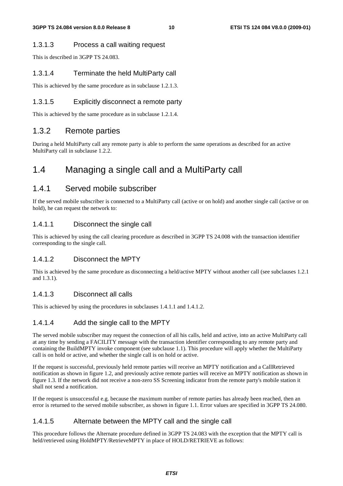#### 1.3.1.3 Process a call waiting request

This is described in 3GPP TS 24.083.

#### 1.3.1.4 Terminate the held MultiParty call

This is achieved by the same procedure as in subclause 1.2.1.3.

#### 1.3.1.5 Explicitly disconnect a remote party

This is achieved by the same procedure as in subclause 1.2.1.4.

### 1.3.2 Remote parties

During a held MultiParty call any remote party is able to perform the same operations as described for an active MultiParty call in subclause 1.2.2.

# 1.4 Managing a single call and a MultiParty call

### 1.4.1 Served mobile subscriber

If the served mobile subscriber is connected to a MultiParty call (active or on hold) and another single call (active or on hold), he can request the network to:

#### 1.4.1.1 Disconnect the single call

This is achieved by using the call clearing procedure as described in 3GPP TS 24.008 with the transaction identifier corresponding to the single call.

#### 1.4.1.2 Disconnect the MPTY

This is achieved by the same procedure as disconnecting a held/active MPTY without another call (see subclauses 1.2.1 and 1.3.1).

#### 1.4.1.3 Disconnect all calls

This is achieved by using the procedures in subclauses 1.4.1.1 and 1.4.1.2.

#### 1.4.1.4 Add the single call to the MPTY

The served mobile subscriber may request the connection of all his calls, held and active, into an active MultiParty call at any time by sending a FACILITY message with the transaction identifier corresponding to any remote party and containing the BuildMPTY invoke component (see subclause 1.1). This procedure will apply whether the MultiParty call is on hold or active, and whether the single call is on hold or active.

If the request is successful, previously held remote parties will receive an MPTY notification and a CallRetrieved notification as shown in figure 1.2, and previously active remote parties will receive an MPTY notification as shown in figure 1.3. If the network did not receive a non-zero SS Screening indicator from the remote party's mobile station it shall not send a notification.

If the request is unsuccessful e.g. because the maximum number of remote parties has already been reached, then an error is returned to the served mobile subscriber, as shown in figure 1.1. Error values are specified in 3GPP TS 24.080.

#### 1.4.1.5 Alternate between the MPTY call and the single call

This procedure follows the Alternate procedure defined in 3GPP TS 24.083 with the exception that the MPTY call is held/retrieved using HoldMPTY/RetrieveMPTY in place of HOLD/RETRIEVE as follows: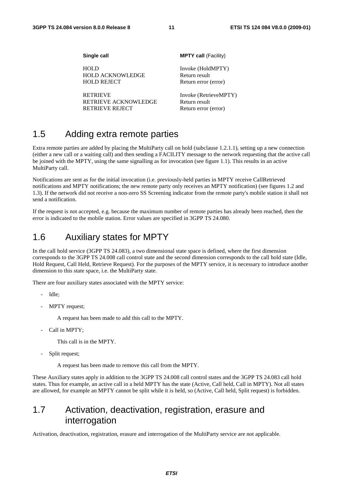| Single call             | <b>MPTY call (Facility)</b> |
|-------------------------|-----------------------------|
| <b>HOLD</b>             | Invoke (HoldMPTY)           |
| <b>HOLD ACKNOWLEDGE</b> | Return result               |
| <b>HOLD REJECT</b>      | Return error (error)        |
| <b>RETRIEVE</b>         | Invoke (RetrieveMPTY)       |
| RETRIEVE ACKNOWLEDGE    | Return result               |
| <b>RETRIEVE REJECT</b>  | Return error (error)        |

# 1.5 Adding extra remote parties

Extra remote parties are added by placing the MultiParty call on hold (subclause 1.2.1.1), setting up a new connection (either a new call or a waiting call) and then sending a FACILITY message to the network requesting that the active call be joined with the MPTY, using the same signalling as for invocation (see figure 1.1). This results in an active MultiParty call.

Notifications are sent as for the initial invocation (i.e. previously-held parties in MPTY receive CallRetrieved notifications and MPTY notifications; the new remote party only receives an MPTY notification) (see figures 1.2 and 1.3). If the network did not receive a non-zero SS Screening indicator from the remote party's mobile station it shall not send a notification.

If the request is not accepted, e.g. because the maximum number of remote parties has already been reached, then the error is indicated to the mobile station. Error values are specified in 3GPP TS 24.080.

# 1.6 Auxiliary states for MPTY

In the call hold service (3GPP TS 24.083), a two dimensional state space is defined, where the first dimension corresponds to the 3GPP TS 24.008 call control state and the second dimension corresponds to the call hold state (Idle, Hold Request, Call Held, Retrieve Request). For the purposes of the MPTY service, it is necessary to introduce another dimension to this state space, i.e. the MultiParty state.

There are four auxiliary states associated with the MPTY service:

- Idle;
- MPTY request;

A request has been made to add this call to the MPTY.

Call in MPTY;

This call is in the MPTY.

Split request;

A request has been made to remove this call from the MPTY.

These Auxiliary states apply in addition to the 3GPP TS 24.008 call control states and the 3GPP TS 24.083 call hold states. Thus for example, an active call in a held MPTY has the state (Active, Call held, Call in MPTY). Not all states are allowed, for example an MPTY cannot be split while it is held, so (Active, Call held, Split request) is forbidden.

# 1.7 Activation, deactivation, registration, erasure and interrogation

Activation, deactivation, registration, erasure and interrogation of the MultiParty service are not applicable.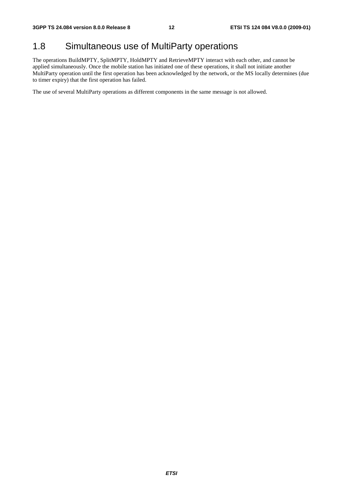# 1.8 Simultaneous use of MultiParty operations

The operations BuildMPTY, SplitMPTY, HoldMPTY and RetrieveMPTY interact with each other, and cannot be applied simultaneously. Once the mobile station has initiated one of these operations, it shall not initiate another MultiParty operation until the first operation has been acknowledged by the network, or the MS locally determines (due to timer expiry) that the first operation has failed.

The use of several MultiParty operations as different components in the same message is not allowed.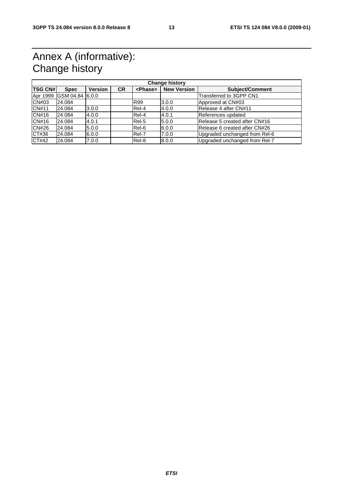# Annex A (informative): Change history

| <b>Change history</b> |                 |                |           |                 |                    |                               |
|-----------------------|-----------------|----------------|-----------|-----------------|--------------------|-------------------------------|
| <b>TSG CN#</b>        | <b>Spec</b>     | <b>Version</b> | <b>CR</b> | <phase></phase> | <b>New Version</b> | <b>Subject/Comment</b>        |
| Apr 1999              | GSM 04.84 6.0.0 |                |           |                 |                    | Transferred to 3GPP CN1       |
| CN#03                 | 24.084          |                |           | <b>R99</b>      | 3.0.0              | Approved at CN#03             |
| CN#11                 | 24.084          | 3.0.0          |           | Rel-4           | 4.0.0              | Release 4 after CN#11         |
| CN#16                 | 24.084          | 4.0.0          |           | Rel-4           | 4.0.1              | References updated            |
| CN#16                 | 24.084          | 4.0.1          |           | Rel-5           | 5.0.0              | Release 5 created after CN#16 |
| CN#26                 | 24.084          | 5.0.0          |           | Rel-6           | 6.0.0              | Release 6 created after CN#26 |
| CT#36                 | 24.084          | 6.0.0          |           | Rel-7           | 7.0.0              | Upgraded unchanged from Rel-6 |
| CT#42                 | 24.084          | 7.0.0          |           | Rel-8           | 8.0.0              | Upgraded unchanged from Rel-7 |